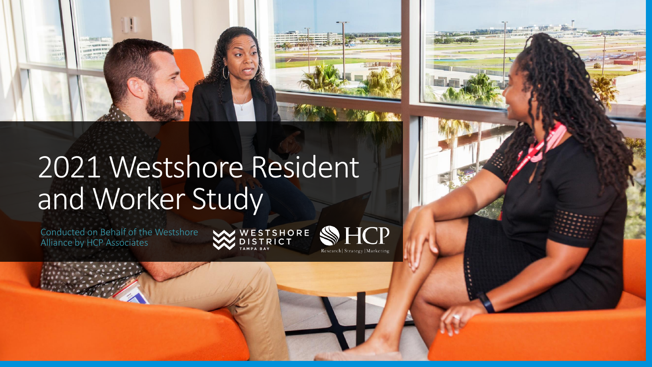



#### 2021 Westshore Resident and Worker Study

Conducted on Behalf of the Westshore Alliance by HCP Associates



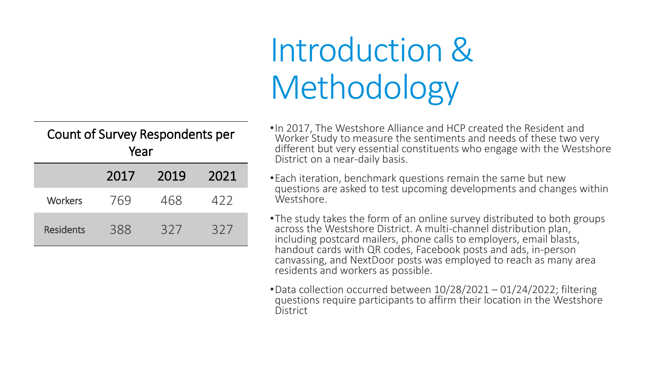# Introduction & Methodology

| Count of Survey Respondents per |      |      |  |  |
|---------------------------------|------|------|--|--|
| Year                            |      |      |  |  |
| 2017                            | 2019 | 2021 |  |  |

Workers 769 468 422

Residents 388 327 327

•In 2017, The Westshore Alliance and HCP created the Resident and Worker Study to measure the sentiments and needs of these two very different but very essential constituents who engage with the Westshore District on a near-daily basis.

- •Each iteration, benchmark questions remain the same but new questions are asked to test upcoming developments and changes within Westshore.
- •The study takes the form of an online survey distributed to both groups across the Westshore District. A multi-channel distribution plan, including postcard mailers, phone calls to employers, email blasts, handout cards with QR codes, Facebook posts and ads, in-person canvassing, and NextDoor posts was employed to reach as many area residents and workers as possible.
- •Data collection occurred between 10/28/2021 01/24/2022; filtering questions require participants to affirm their location in the Westshore District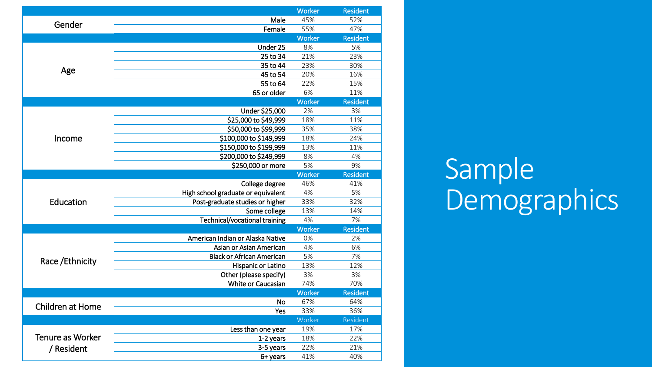|                         |                                    | Worker        | <b>Resident</b> |
|-------------------------|------------------------------------|---------------|-----------------|
| Gender                  | 45%                                | 52%           |                 |
|                         | Female                             | 55%           | 47%             |
|                         |                                    | Worker        | <b>Resident</b> |
|                         | Under 25                           | 8%            | 5%              |
|                         | 25 to 34                           | 21%           | 23%             |
|                         | 35 to 44                           | 23%           | 30%             |
| Age                     | 45 to 54                           | 20%           | 16%             |
|                         | 55 to 64                           | 22%           | 15%             |
|                         | 65 or older                        | 6%            | 11%             |
|                         |                                    | <b>Worker</b> | <b>Resident</b> |
|                         | Under \$25,000                     | 2%            | 3%              |
|                         | \$25,000 to \$49,999               | 18%           | 11%             |
|                         | \$50,000 to \$99,999               | 35%           | 38%             |
| Income                  | \$100,000 to \$149,999             | 18%           | 24%             |
|                         | \$150,000 to \$199,999             | 13%           | 11%             |
|                         | \$200,000 to \$249,999             | 8%            | 4%              |
|                         | \$250,000 or more                  | 5%            | 9%              |
|                         |                                    | Worker        | <b>Resident</b> |
|                         | College degree                     | 46%           | 41%             |
|                         | High school graduate or equivalent | 4%            | 5%              |
| Education               | Post-graduate studies or higher    | 33%           | 32%             |
|                         | Some college                       | 13%           | 14%             |
|                         | Technical/vocational training      | 4%            | 7%              |
|                         |                                    | Worker        | <b>Resident</b> |
|                         | American Indian or Alaska Native   | 0%            | 2%              |
|                         | Asian or Asian American            | 4%            | 6%              |
| Race / Ethnicity        | <b>Black or African American</b>   | 5%            | 7%              |
|                         | Hispanic or Latino                 | 13%           | 12%             |
|                         | Other (please specify)             | 3%            | 3%              |
|                         | White or Caucasian                 | 74%           | 70%             |
|                         |                                    | Worker        | <b>Resident</b> |
| <b>Children at Home</b> | <b>No</b>                          | 67%           | 64%             |
|                         | Yes                                | 33%           | 36%             |
|                         |                                    | Worker        | Resident        |
|                         | Less than one year                 | 19%           | 17%             |
| Tenure as Worker        | 1-2 years                          | 18%           | 22%             |
| / Resident              | 3-5 years                          | 22%           | 21%             |
|                         | 6+ years                           | 41%           | 40%             |

Sample Demographics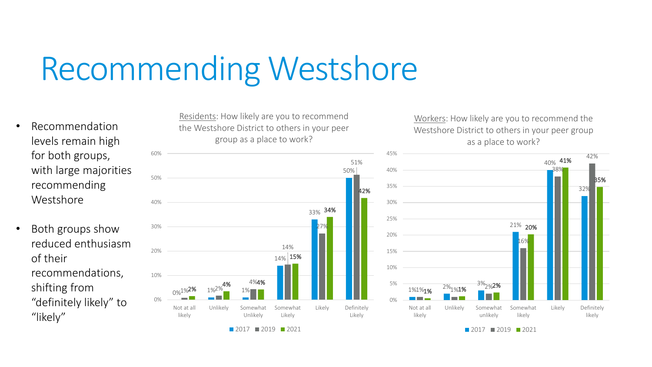## Recommending Westshore

- Recommendation levels remain high for both groups, with large majorities recommending Westshore
- Both groups show reduced enthusiasm of their recommendations, shifting from "definitely likely" to "likely"

Residents: How likely are you to recommend the Westshore District to others in your peer group as a place to work?



Workers: How likely are you to recommend the Westshore District to others in your peer group as a place to work?



**2017 2019 2021** 

■ 2017 ■ 2019 ■ 2021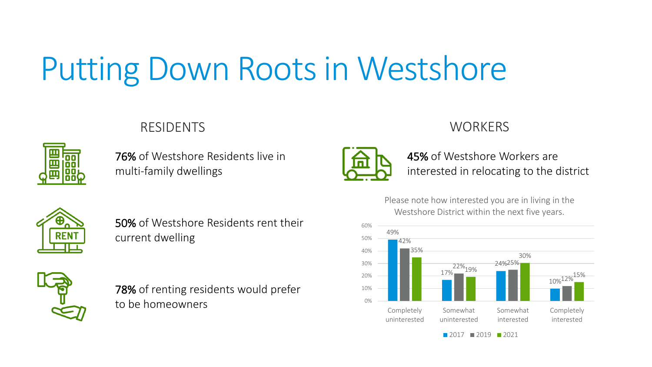# Putting Down Roots in Westshore

#### RESIDENTS WORKERS

| Π<br>I |   |
|--------|---|
|        | U |
|        |   |

76% of Westshore Residents live in multi-family dwellings



50% of Westshore Residents rent their current dwelling



78% of renting residents would prefer to be homeowners



45% of Westshore Workers are interested in relocating to the district

Please note how interested you are in living in the Westshore District within the next five years.

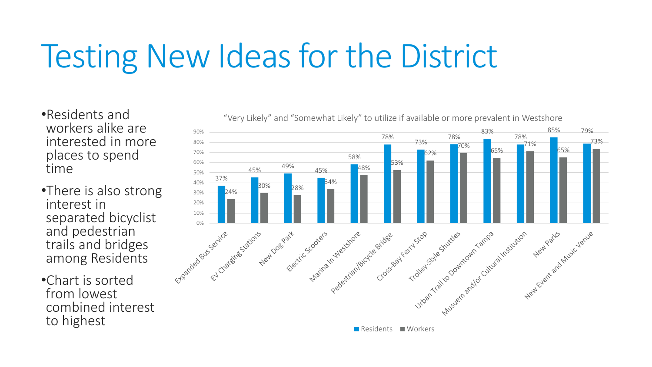# Testing New Ideas for the District

•Residents and workers alike are interested in more places to spend time

- •There is also strong interest in separated bicyclist and pedestrian trails and bridges among Residents
- •Chart is sorted from lowest combined interest to highest



"Very Likely" and "Somewhat Likely" to utilize if available or more prevalent in Westshore

Residents Workers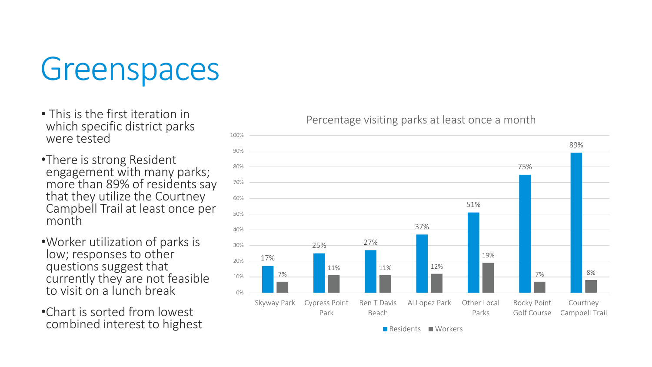### Greenspaces

- This is the first iteration in which specific district parks were tested
- •There is strong Resident engagement with many parks; more than 89% of residents say that they utilize the Courtney Campbell Trail at least once per month
- •Worker utilization of parks is low; responses to other questions suggest that currently they are not feasible to visit on a lunch break
- •Chart is sorted from lowest combined interest to highest



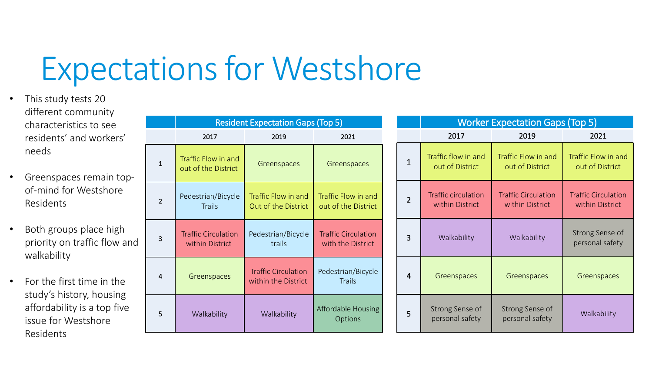## Expectations for Westshore

- This study tests 20 different community characteristics to see residents' and workers' needs
- Greenspaces remain topof-mind for Westshore Residents
- Both groups place high priority on traffic flow and walkability
- For the first time in the study's history, housing affordability is a top five issue for Westshore Residents

|                | <b>Resident Expectation Gaps (Top 5)</b>      |                                                   |                                                 |                | <b>Worker Expectation Gaps (Top 5)</b>        |                                               |                                               |
|----------------|-----------------------------------------------|---------------------------------------------------|-------------------------------------------------|----------------|-----------------------------------------------|-----------------------------------------------|-----------------------------------------------|
|                | 2017                                          | 2019                                              | 2021                                            |                | 2017                                          | 2019                                          | 2021                                          |
| $\mathbf{1}$   | Traffic Flow in and<br>out of the District    | Greenspaces                                       | Greenspaces                                     | $\mathbf{1}$   | Traffic flow in and<br>out of District        | Traffic Flow in and<br>out of District        | Traffic Flow in and<br>out of District        |
| $\overline{2}$ | Pedestrian/Bicycle<br><b>Trails</b>           | Traffic Flow in and<br>Out of the District        | Traffic Flow in and<br>out of the District      | $\overline{2}$ | <b>Traffic circulation</b><br>within District | <b>Traffic Circulation</b><br>within District | <b>Traffic Circulation</b><br>within District |
| 3              | <b>Traffic Circulation</b><br>within District | Pedestrian/Bicycle<br>trails                      | <b>Traffic Circulation</b><br>with the District | 3              | Walkability                                   | Walkability                                   | Strong Sense of<br>personal safety            |
| 4              | Greenspaces                                   | <b>Traffic Circulation</b><br>within the District | Pedestrian/Bicycle<br><b>Trails</b>             | 4              | Greenspaces                                   | Greenspaces                                   | Greenspaces                                   |
| 5              | Walkability                                   | Walkability                                       | Affordable Housing<br><b>Options</b>            | 5              | Strong Sense of<br>personal safety            | Strong Sense of<br>personal safety            | Walkability                                   |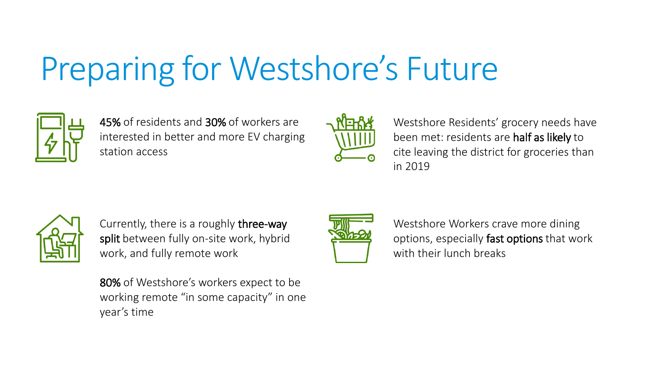# Preparing for Westshore's Future



45% of residents and 30% of workers are interested in better and more EV charging station access



Westshore Residents' grocery needs have been met: residents are half as likely to cite leaving the district for groceries than in 2019



Currently, there is a roughly three-way split between fully on-site work, hybrid work, and fully remote work

80% of Westshore's workers expect to be working remote "in some capacity" in one year's time



Westshore Workers crave more dining options, especially fast options that work with their lunch breaks